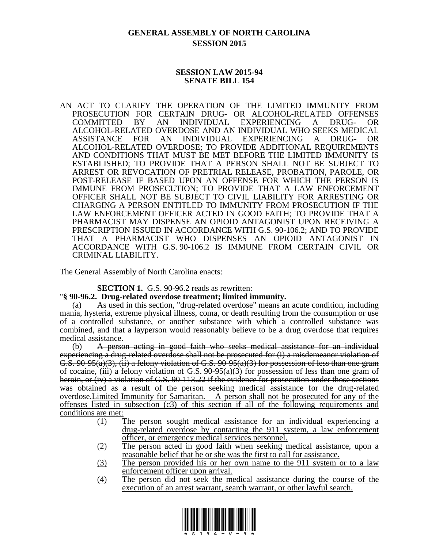# **GENERAL ASSEMBLY OF NORTH CAROLINA SESSION 2015**

# **SESSION LAW 2015-94 SENATE BILL 154**

AN ACT TO CLARIFY THE OPERATION OF THE LIMITED IMMUNITY FROM PROSECUTION FOR CERTAIN DRUG- OR ALCOHOL-RELATED OFFENSES COMMITTED BY AN INDIVIDUAL EXPERIENCING A DRUG- OR ALCOHOL-RELATED OVERDOSE AND AN INDIVIDUAL WHO SEEKS MEDICAL ASSISTANCE FOR AN INDIVIDUAL EXPERIENCING A DRUG- OR ALCOHOL-RELATED OVERDOSE; TO PROVIDE ADDITIONAL REQUIREMENTS AND CONDITIONS THAT MUST BE MET BEFORE THE LIMITED IMMUNITY IS ESTABLISHED; TO PROVIDE THAT A PERSON SHALL NOT BE SUBJECT TO ARREST OR REVOCATION OF PRETRIAL RELEASE, PROBATION, PAROLE, OR POST-RELEASE IF BASED UPON AN OFFENSE FOR WHICH THE PERSON IS IMMUNE FROM PROSECUTION; TO PROVIDE THAT A LAW ENFORCEMENT OFFICER SHALL NOT BE SUBJECT TO CIVIL LIABILITY FOR ARRESTING OR CHARGING A PERSON ENTITLED TO IMMUNITY FROM PROSECUTION IF THE LAW ENFORCEMENT OFFICER ACTED IN GOOD FAITH; TO PROVIDE THAT A PHARMACIST MAY DISPENSE AN OPIOID ANTAGONIST UPON RECEIVING A PRESCRIPTION ISSUED IN ACCORDANCE WITH G.S. 90-106.2; AND TO PROVIDE THAT A PHARMACIST WHO DISPENSES AN OPIOID ANTAGONIST IN ACCORDANCE WITH G.S. 90-106.2 IS IMMUNE FROM CERTAIN CIVIL OR CRIMINAL LIABILITY.

The General Assembly of North Carolina enacts:

**SECTION 1.** G.S. 90-96.2 reads as rewritten:

## "**§ 90-96.2. Drug-related overdose treatment; limited immunity.**

(a) As used in this section, "drug-related overdose" means an acute condition, including mania, hysteria, extreme physical illness, coma, or death resulting from the consumption or use of a controlled substance, or another substance with which a controlled substance was combined, and that a layperson would reasonably believe to be a drug overdose that requires medical assistance.

(b) A person acting in good faith who seeks medical assistance for an individual experiencing a drug-related overdose shall not be prosecuted for (i) a misdemeanor violation of  $G.S. 90-95(a)(3), (ii)$  a felony violation of G.S.  $90-95(a)(3)$  for possession of less than one gram of cocaine,  $(iii)$  a felony violation of G.S.  $90-95(a)(3)$  for possession of less than one gram of heroin, or (iv) a violation of G.S. 90-113.22 if the evidence for prosecution under those sections was obtained as a result of the person seeking medical assistance for the drug-related  $overdose-Limited Immunity for Samaritan. - A person shall not be processed for any of the$ offenses listed in subsection (c3) of this section if all of the following requirements and conditions are met:

- (1) The person sought medical assistance for an individual experiencing a drug-related overdose by contacting the 911 system, a law enforcement officer, or emergency medical services personnel.
- (2) The person acted in good faith when seeking medical assistance, upon a reasonable belief that he or she was the first to call for assistance.
- (3) The person provided his or her own name to the 911 system or to a law enforcement officer upon arrival.
- (4) The person did not seek the medical assistance during the course of the execution of an arrest warrant, search warrant, or other lawful search.

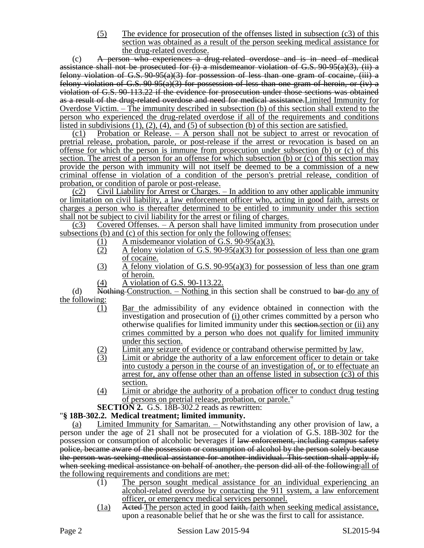(5) The evidence for prosecution of the offenses listed in subsection (c3) of this section was obtained as a result of the person seeking medical assistance for the drug-related overdose.

(c) A person who experiences a drug-related overdose and is in need of medical assistance shall not be prosecuted for  $(i)$  a misdemeanor violation of G.S. 90-95(a)(3), (ii) a felony violation of G.S.  $90-95(a)(3)$  for possession of less than one gram of cocaine, (iii) a felony violation of G.S. 90-95(a)(3) for possession of less than one gram of heroin, or (iv) a violation of G.S. 90-113.22 if the evidence for prosecution under those sections was obtained as a result of the drug-related overdose and need for medical assistance.Limited Immunity for Overdose Victim. – The immunity described in subsection (b) of this section shall extend to the person who experienced the drug-related overdose if all of the requirements and conditions listed in subdivisions (1), (2), (4), and (5) of subsection (b) of this section are satisfied.

(c1) Probation or Release. – A person shall not be subject to arrest or revocation of pretrial release, probation, parole, or post-release if the arrest or revocation is based on an offense for which the person is immune from prosecution under subsection (b) or (c) of this section. The arrest of a person for an offense for which subsection (b) or (c) of this section may provide the person with immunity will not itself be deemed to be a commission of a new criminal offense in violation of a condition of the person's pretrial release, condition of probation, or condition of parole or post-release.

(c2) Civil Liability for Arrest or Charges. – In addition to any other applicable immunity or limitation on civil liability, a law enforcement officer who, acting in good faith, arrests or charges a person who is thereafter determined to be entitled to immunity under this section shall not be subject to civil liability for the arrest or filing of charges.

(c3) Covered Offenses. – A person shall have limited immunity from prosecution under subsections (b) and (c) of this section for only the following offenses:

- (1) A misdemeanor violation of G.S. 90-95(a)(3).<br>A felony violation of G.S. 90-95(a)(3) for pos
- A felony violation of G.S.  $90-95(a)(3)$  for possession of less than one gram of cocaine.
- (3) A felony violation of G.S. 90-95(a)(3) for possession of less than one gram of heroin.
- (4) A violation of G.S. 90-113.22.

(d) Nothing Construction. – Nothing in this section shall be construed to bar-do any of the following:

- (1) Bar the admissibility of any evidence obtained in connection with the investigation and prosecution of (i) other crimes committed by a person who otherwise qualifies for limited immunity under this section.section or (ii) any crimes committed by a person who does not qualify for limited immunity under this section.
- 
- $\frac{12}{3}$  Limit any seizure of evidence or contraband otherwise permitted by law.<br>Limit or abridge the authority of a law enforcement officer to detain or Limit or abridge the authority of a law enforcement officer to detain or take into custody a person in the course of an investigation of, or to effectuate an arrest for, any offense other than an offense listed in subsection (c3) of this section.
- (4) Limit or abridge the authority of a probation officer to conduct drug testing of persons on pretrial release, probation, or parole."

**SECTION 2.** G.S. 18B-302.2 reads as rewritten:

# "**§ 18B-302.2. Medical treatment; limited immunity.**

(a) Limited Immunity for Samaritan. – Notwithstanding any other provision of law, a person under the age of 21 shall not be prosecuted for a violation of G.S. 18B-302 for the possession or consumption of alcoholic beverages if law enforcement, including campus safety police, became aware of the possession or consumption of alcohol by the person solely because the person was seeking medical assistance for another individual. This section shall apply if, when seeking medical assistance on behalf of another, the person did all of the following: all of the following requirements and conditions are met:

- (1) The person sought medical assistance for an individual experiencing an alcohol-related overdose by contacting the 911 system, a law enforcement officer, or emergency medical services personnel.
- (1a) Acted The person acted in good faith, faith when seeking medical assistance, upon a reasonable belief that he or she was the first to call for assistance.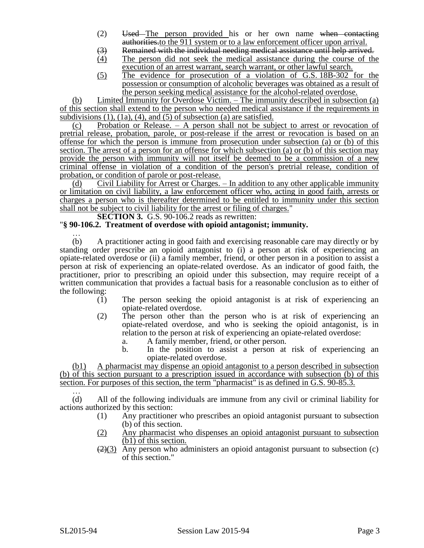- (2) Used The person provided his or her own name when contacting authorities.to the 911 system or to a law enforcement officer upon arrival.
- (3) Remained with the individual needing medical assistance until help arrived.
- (4) The person did not seek the medical assistance during the course of the execution of an arrest warrant, search warrant, or other lawful search.
- (5) The evidence for prosecution of a violation of G.S. 18B-302 for the possession or consumption of alcoholic beverages was obtained as a result of the person seeking medical assistance for the alcohol-related overdose.

(b) Limited Immunity for Overdose Victim. – The immunity described in subsection (a) of this section shall extend to the person who needed medical assistance if the requirements in subdivisions  $(1)$ ,  $(1a)$ ,  $(4)$ , and  $(5)$  of subsection  $(a)$  are satisfied.

(c) Probation or Release. – A person shall not be subject to arrest or revocation of pretrial release, probation, parole, or post-release if the arrest or revocation is based on an offense for which the person is immune from prosecution under subsection (a) or (b) of this section. The arrest of a person for an offense for which subsection (a) or (b) of this section may provide the person with immunity will not itself be deemed to be a commission of a new criminal offense in violation of a condition of the person's pretrial release, condition of probation, or condition of parole or post-release.

(d) Civil Liability for Arrest or Charges. – In addition to any other applicable immunity or limitation on civil liability, a law enforcement officer who, acting in good faith, arrests or charges a person who is thereafter determined to be entitled to immunity under this section shall not be subject to civil liability for the arrest or filing of charges."

#### **SECTION 3.** G.S. 90-106.2 reads as rewritten:

## "**§ 90-106.2. Treatment of overdose with opioid antagonist; immunity.**

… (b) A practitioner acting in good faith and exercising reasonable care may directly or by standing order prescribe an opioid antagonist to (i) a person at risk of experiencing an opiate-related overdose or (ii) a family member, friend, or other person in a position to assist a person at risk of experiencing an opiate-related overdose. As an indicator of good faith, the practitioner, prior to prescribing an opioid under this subsection, may require receipt of a written communication that provides a factual basis for a reasonable conclusion as to either of the following:

- (1) The person seeking the opioid antagonist is at risk of experiencing an opiate-related overdose.
- (2) The person other than the person who is at risk of experiencing an opiate-related overdose, and who is seeking the opioid antagonist, is in relation to the person at risk of experiencing an opiate-related overdose:
	- a. A family member, friend, or other person.
	- b. In the position to assist a person at risk of experiencing an opiate-related overdose.

(b1) A pharmacist may dispense an opioid antagonist to a person described in subsection (b) of this section pursuant to a prescription issued in accordance with subsection (b) of this section. For purposes of this section, the term "pharmacist" is as defined in G.S. 90-85.3.

… (d) All of the following individuals are immune from any civil or criminal liability for actions authorized by this section:

- (1) Any practitioner who prescribes an opioid antagonist pursuant to subsection (b) of this section.
- (2) Any pharmacist who dispenses an opioid antagonist pursuant to subsection (b1) of this section.
- $\left(\frac{2}{3}\right)$  Any person who administers an opioid antagonist pursuant to subsection (c) of this section."